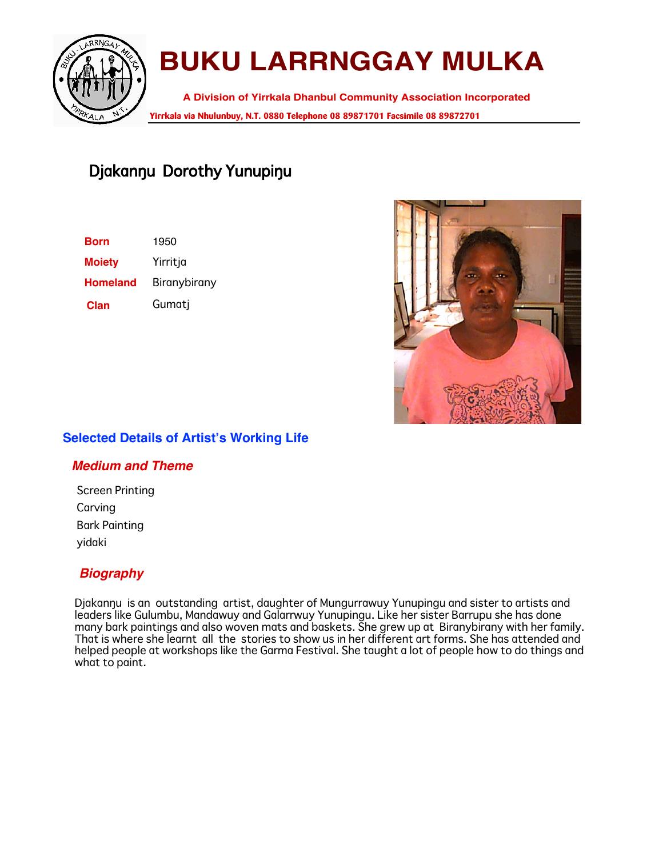

# **BUKU LARRNGGAY MULKA**

**A Division of Yirrkala Dhanbul Community Association Incorporated Yirrkala via Nhulunbuy, N.T. 0880 Telephone 08 89871701 Facsimile 08 89872701**

# Djakannu Dorothy Yunupinu

| <b>Born</b>     | 1950         |
|-----------------|--------------|
| <b>Moiety</b>   | Yirritja     |
| <b>Homeland</b> | Biranybirany |
| <b>Clan</b>     | Gumatj       |



# **Selected Details of Artist's Working Life**

## **Medium and Theme**

Screen Printing Carving Bark Painting yidaki

# **Biography**

Djakanŋu is an outstanding artist, daughter of Mungurrawuy Yunupingu and sister to artists and leaders like Gulumbu, Mandawuy and Galarrwuy Yunupingu. Like her sister Barrupu she has done many bark paintings and also woven mats and baskets. She grew up at Biranybirany with her family. That is where she learnt all the stories to show us in her different art forms. She has attended and helped people at workshops like the Garma Festival. She taught a lot of people how to do things and what to paint.